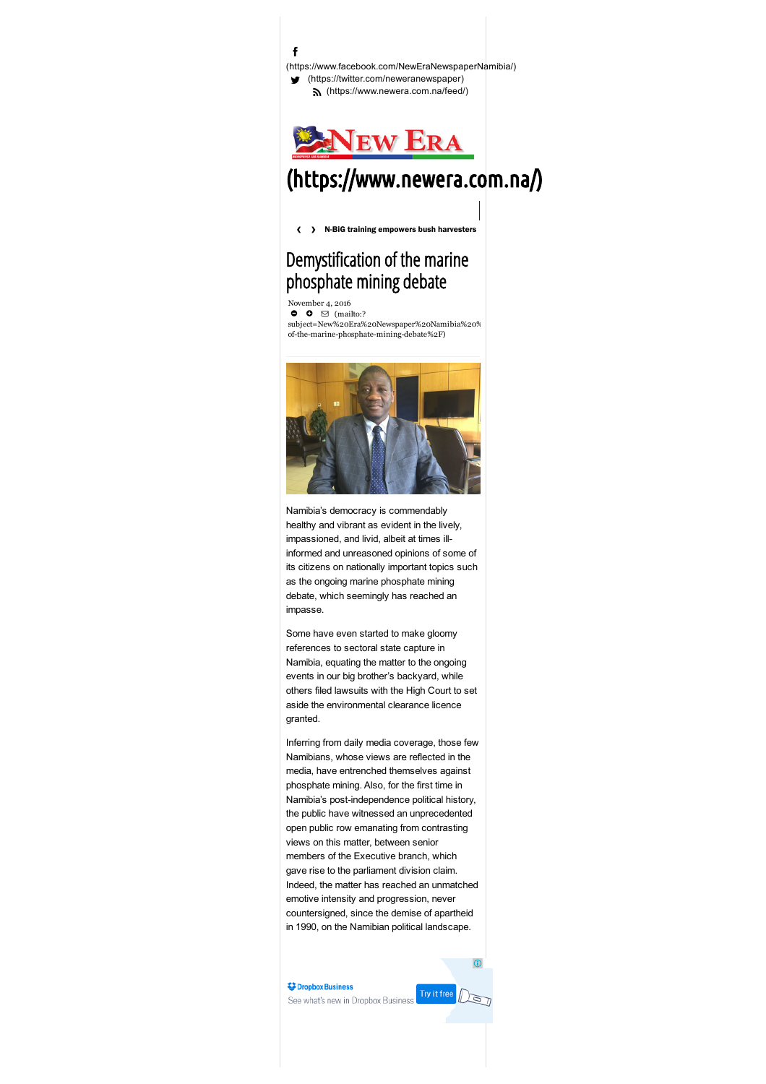f [\(https://twitter.com/neweranewspaper\)](https://twitter.com/neweranewspaper) [\(https://www.newera.com.na/feed/\)](https://www.newera.com.na/feed/) [\(https://www.facebook.com/NewEraNewspaperNamibia/\)](https://www.facebook.com/NewEraNewspaperNamibia/)



# [\(https://www.newera.com.na/\)](https://www.newera.com.na/)

<span id="page-0-0"></span>[N-BiG training empowers bush harvesters](https://www.newera.com.na/2016/11/22/n-big-training-empowers-bush-harvesters/) [‹](#page-0-0) [›](#page-0-0)

## Demystification of the marine phosphate mining debate

November 4, 2016  $\bullet$   $\bullet$   $\Box$  (mailto:?

[subject=New%20Era%20Newspaper%20Namibia%20%](mailto:?subject=New%20Era%20Newspaper%20Namibia%20%3A%20Demystification%20of%20the%20marine%20phosphate%20mining%20debate&body=I%20recommend%20this%20page%3A%20Demystification%20of%20the%20marine%20phosphate%20mining%20debate.%0AYou%20can%20read%20it%20on%3A%20https%3A%2F%2Fwww.newera.com.na%2F2016%2F11%2F04%2Fdemystification-of-the-marine-phosphate-mining-debate%2F) of-the-marine-phosphate-mining-debate%2F)



Namibia's democracy is commendably healthy and vibrant as evident in the lively, impassioned, and livid, albeit at times illinformed and unreasoned opinions of some of its citizens on nationally important topics such as the ongoing marine phosphate mining debate, which seemingly has reached an impasse.

Some have even started to make gloomy references to sectoral state capture in Namibia, equating the matter to the ongoing events in our big brother's backyard, while others filed lawsuits with the High Court to set aside the environmental clearance licence granted.

Inferring from daily media coverage, those few Namibians, whose views are reflected in the media, have entrenched themselves against phosphate mining. Also, for the first time in Namibia's post-independence political history, the public have witnessed an unprecedented open public row emanating from contrasting views on this matter, between senior members of the Executive branch, which gave rise to the parliament division claim. Indeed, the matter has reached an unmatched emotive intensity and progression, never countersigned, since the demise of apartheid in 1990, on the Namibian political landscape.

**Dropbox Business** See what's new in Dropbox Business



G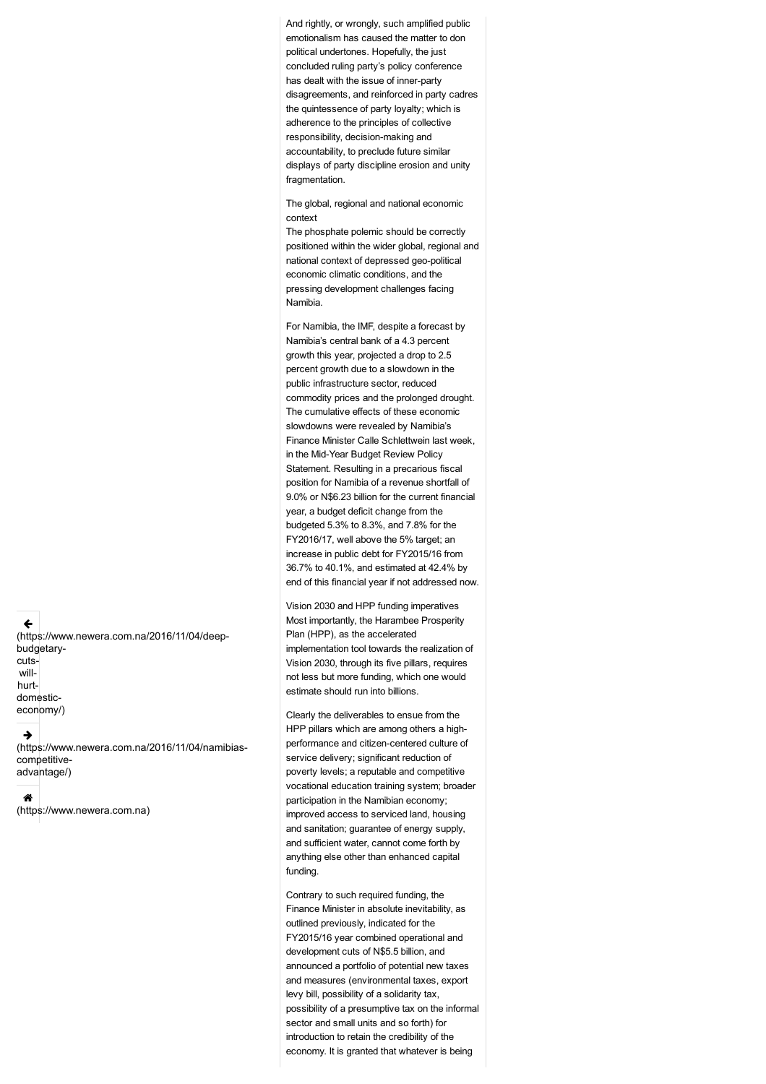And rightly, or wrongly, such amplified public emotionalism has caused the matter to don political undertones. Hopefully, the just concluded ruling party's policy conference has dealt with the issue of inner-party disagreements, and reinforced in party cadres the quintessence of party loyalty; which is adherence to the principles of collective responsibility, decision-making and accountability, to preclude future similar displays of party discipline erosion and unity fragmentation.

The global, regional and national economic context

The phosphate polemic should be correctly positioned within the wider global, regional and national context of depressed geo-political economic climatic conditions, and the pressing development challenges facing Namibia.

For Namibia, the IMF, despite a forecast by Namibia's central bank of a 4.3 percent growth this year, projected a drop to 2.5 percent growth due to a slowdown in the public infrastructure sector, reduced commodity prices and the prolonged drought. The cumulative effects of these economic slowdowns were revealed by Namibia's Finance Minister Calle Schlettwein last week, in the Mid-Year Budget Review Policy Statement. Resulting in a precarious fiscal position for Namibia of a revenue shortfall of 9.0% or N\$6.23 billion for the current financial year, a budget deficit change from the budgeted 5.3% to 8.3%, and 7.8% for the FY2016/17, well above the 5% target; an increase in public debt for FY2015/16 from 36.7% to 40.1%, and estimated at 42.4% by end of this financial year if not addressed now.

Vision 2030 and HPP funding imperatives Most importantly, the Harambee Prosperity Plan (HPP), as the accelerated implementation tool towards the realization of Vision 2030, through its five pillars, requires not less but more funding, which one would estimate should run into billions.

Clearly the deliverables to ensue from the HPP pillars which are among others a highperformance and citizen-centered culture of service delivery; significant reduction of poverty levels; a reputable and competitive vocational education training system; broader participation in the Namibian economy; improved access to serviced land, housing and sanitation; guarantee of energy supply, and sufficient water, cannot come forth by anything else other than enhanced capital funding.

Contrary to such required funding, the Finance Minister in absolute inevitability, as outlined previously, indicated for the FY2015/16 year combined operational and development cuts of N\$5.5 billion, and announced a portfolio of potential new taxes and measures (environmental taxes, export levy bill, possibility of a solidarity tax, possibility of a presumptive tax on the informal sector and small units and so forth) for introduction to retain the credibility of the economy. It is granted that whatever is being

← [\(https://www.newera.com.na/2016/11/04/deep](https://www.newera.com.na/2016/11/04/deep-budgetary-cuts-will-hurt-domestic-economy/)budgetarycutswillhurtdomesticeconomy/)

#### **T**

[\(https://www.newera.com.na/2016/11/04/namibias](https://www.newera.com.na/2016/11/04/namibias-competitive-advantage/)competitiveadvantage/)

#### @

[\(https://www.newera.com.na\)](https://www.newera.com.na/)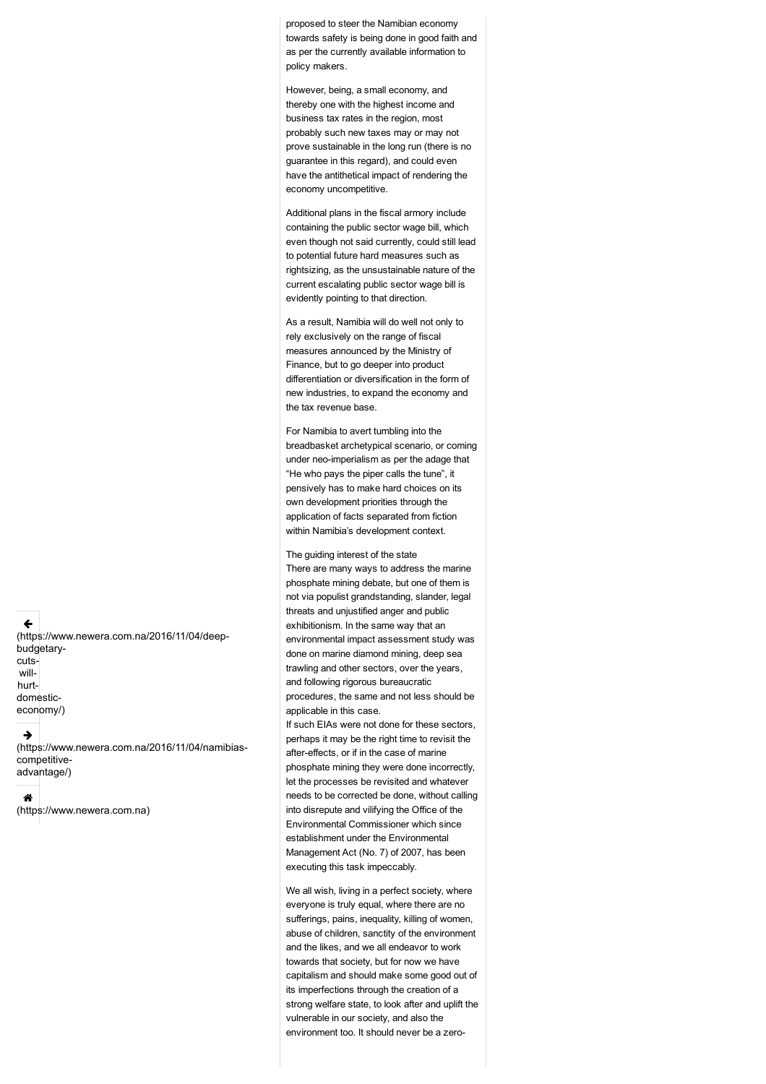proposed to steer the Namibian economy towards safety is being done in good faith and as per the currently available information to policy makers.

However, being, a small economy, and thereby one with the highest income and business tax rates in the region, most probably such new taxes may or may not prove sustainable in the long run (there is no guarantee in this regard), and could even have the antithetical impact of rendering the economy uncompetitive.

Additional plans in the fiscal armory include containing the public sector wage bill, which even though not said currently, could still lead to potential future hard measures such as rightsizing, as the unsustainable nature of the current escalating public sector wage bill is evidently pointing to that direction.

As a result, Namibia will do well not only to rely exclusively on the range of fiscal measures announced by the Ministry of Finance, but to go deeper into product differentiation or diversification in the form of new industries, to expand the economy and the tax revenue base.

For Namibia to avert tumbling into the breadbasket archetypical scenario, or coming under neo-imperialism as per the adage that "He who pays the piper calls the tune", it pensively has to make hard choices on its own development priorities through the application of facts separated from fiction within Namibia's development context.

The guiding interest of the state

There are many ways to address the marine phosphate mining debate, but one of them is not via populist grandstanding, slander, legal threats and unjustified anger and public exhibitionism. In the same way that an environmental impact assessment study was done on marine diamond mining, deep sea trawling and other sectors, over the years, and following rigorous bureaucratic procedures, the same and not less should be applicable in this case.

If such EIAs were not done for these sectors, perhaps it may be the right time to revisit the after-effects, or if in the case of marine phosphate mining they were done incorrectly, let the processes be revisited and whatever needs to be corrected be done, without calling into disrepute and vilifying the Office of the Environmental Commissioner which since establishment under the Environmental Management Act (No. 7) of 2007, has been executing this task impeccably.

We all wish, living in a perfect society, where everyone is truly equal, where there are no sufferings, pains, inequality, killing of women, abuse of children, sanctity of the environment and the likes, and we all endeavor to work towards that society, but for now we have capitalism and should make some good out of its imperfections through the creation of a strong welfare state, to look after and uplift the vulnerable in our society, and also the environment too. It should never be a zero

 $\leftarrow$ [\(https://www.newera.com.na/2016/11/04/deep](https://www.newera.com.na/2016/11/04/deep-budgetary-cuts-will-hurt-domestic-economy/)budgetarycutswillhurtdomesticeconomy/)

#### **T**

[\(https://www.newera.com.na/2016/11/04/namibias](https://www.newera.com.na/2016/11/04/namibias-competitive-advantage/)competitiveadvantage/)

#### @

[\(https://www.newera.com.na\)](https://www.newera.com.na/)